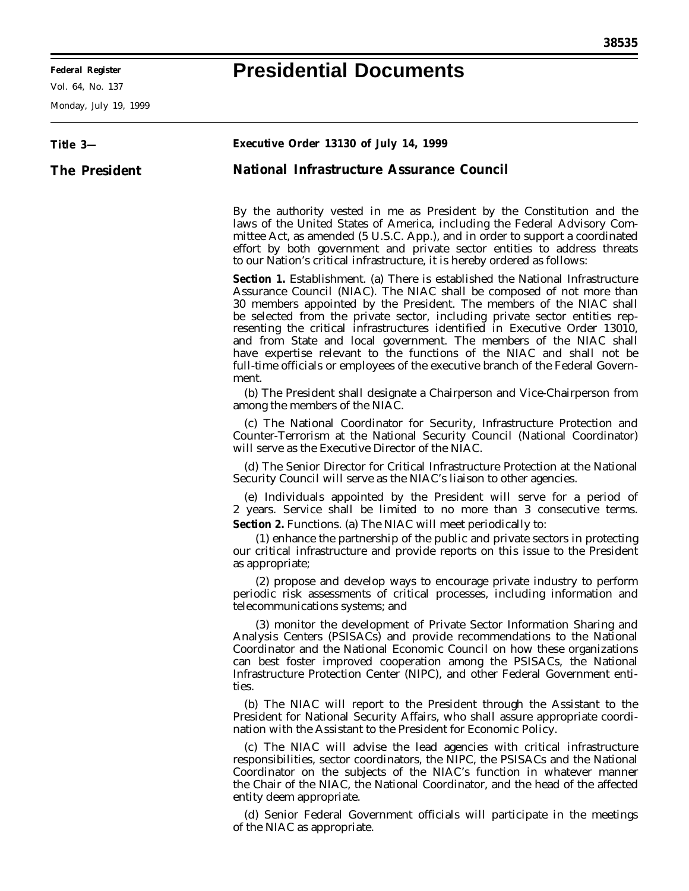## **Federal Register Presidential Documents**

Vol. 64, No. 137

Monday, July 19, 1999

| Title 3-             | Executive Order 13130 of July 14, 1999                                                                                                                                                                                                                                                                                                                                                                                                                                                                                                                                                                                                   |
|----------------------|------------------------------------------------------------------------------------------------------------------------------------------------------------------------------------------------------------------------------------------------------------------------------------------------------------------------------------------------------------------------------------------------------------------------------------------------------------------------------------------------------------------------------------------------------------------------------------------------------------------------------------------|
| <b>The President</b> | <b>National Infrastructure Assurance Council</b>                                                                                                                                                                                                                                                                                                                                                                                                                                                                                                                                                                                         |
|                      | By the authority vested in me as President by the Constitution and the<br>laws of the United States of America, including the Federal Advisory Com-<br>mittee Act, as amended (5 U.S.C. App.), and in order to support a coordinated<br>effort by both government and private sector entities to address threats<br>to our Nation's critical infrastructure, it is hereby ordered as follows:                                                                                                                                                                                                                                            |
|                      | Section 1. Establishment. (a) There is established the National Infrastructure<br>Assurance Council (NIAC). The NIAC shall be composed of not more than<br>30 members appointed by the President. The members of the NIAC shall<br>be selected from the private sector, including private sector entities rep-<br>resenting the critical infrastructures identified in Executive Order 13010,<br>and from State and local government. The members of the NIAC shall<br>have expertise relevant to the functions of the NIAC and shall not be<br>full-time officials or employees of the executive branch of the Federal Govern-<br>ment. |
|                      | (b) The President shall designate a Chairperson and Vice-Chairperson from<br>among the members of the NIAC.                                                                                                                                                                                                                                                                                                                                                                                                                                                                                                                              |
|                      | (c) The National Coordinator for Security, Infrastructure Protection and<br>Counter-Terrorism at the National Security Council (National Coordinator)<br>will serve as the Executive Director of the NIAC.                                                                                                                                                                                                                                                                                                                                                                                                                               |
|                      | (d) The Senior Director for Critical Infrastructure Protection at the National<br>Security Council will serve as the NIAC's liaison to other agencies.                                                                                                                                                                                                                                                                                                                                                                                                                                                                                   |
|                      | (e) Individuals appointed by the President will serve for a period of<br>2 years. Service shall be limited to no more than 3 consecutive terms.<br><b>Section 2.</b> Functions. (a) The NIAC will meet periodically to:                                                                                                                                                                                                                                                                                                                                                                                                                  |
|                      | (1) enhance the partnership of the public and private sectors in protecting<br>our critical infrastructure and provide reports on this issue to the President<br>as appropriate;                                                                                                                                                                                                                                                                                                                                                                                                                                                         |
|                      | (2) propose and develop ways to encourage private industry to perform<br>periodic risk assessments of critical processes, including information and<br>telecommunications systems; and                                                                                                                                                                                                                                                                                                                                                                                                                                                   |
|                      | (3) monitor the development of Private Sector Information Sharing and<br>Analysis Centers (PSISACs) and provide recommendations to the National<br>Coordinator and the National Economic Council on how these organizations<br>can best foster improved cooperation among the PSISACs, the National<br>Infrastructure Protection Center (NIPC), and other Federal Government enti-<br>ties.                                                                                                                                                                                                                                              |
|                      | (b) The NIAC will report to the President through the Assistant to the<br>President for National Security Affairs, who shall assure appropriate coordi-<br>nation with the Assistant to the President for Economic Policy.                                                                                                                                                                                                                                                                                                                                                                                                               |
|                      | (c) The NIAC will advise the lead agencies with critical infrastructure<br>responsibilities, sector coordinators, the NIPC, the PSISACs and the National<br>Coordinator on the subjects of the NIAC's function in whatever manner<br>the Chair of the NIAC, the National Coordinator, and the head of the affected<br>entity deem appropriate.                                                                                                                                                                                                                                                                                           |
|                      | (d) Senior Federal Government officials will participate in the meetings<br>of the NIAC as appropriate.                                                                                                                                                                                                                                                                                                                                                                                                                                                                                                                                  |